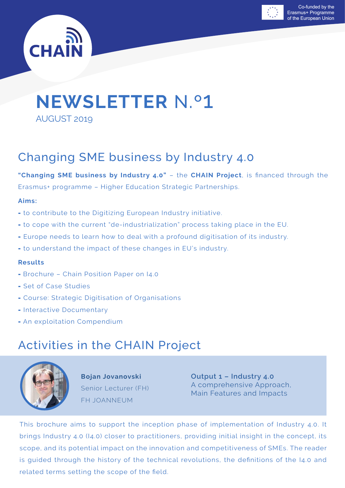



# **NEWSLETTER** N.º1

AUGUST 2019

# Changing SME business by Industry 4.0

**"Changing SME business by Industry 4.0"** – the **CHAIN Project**, is financed through the Erasmus+ programme – Higher Education Strategic Partnerships.

#### **Aims:**

- to contribute to the Digitizing European Industry initiative.
- to cope with the current "de-industrialization" process taking place in the EU.
- Europe needs to learn how to deal with a profound digitisation of its industry.
- to understand the impact of these changes in EU's industry.

#### **Results**

- Brochure Chain Position Paper on I4.0
- Set of Case Studies
- Course: Strategic Digitisation of Organisations
- Interactive Documentary
- An exploitation Compendium

# Activities in the CHAIN Project



**Bojan Jovanovski** Senior Lecturer (FH) FH JOANNEUM

**Output 1 – Industry 4.0**  A comprehensive Approach, Main Features and Impacts

This brochure aims to support the inception phase of implementation of Industry 4.0. It brings Industry 4.0 (I4.0) closer to practitioners, providing initial insight in the concept, its scope, and its potential impact on the innovation and competitiveness of SMEs. The reader is guided through the history of the technical revolutions, the definitions of the I4.0 and related terms setting the scope of the field.